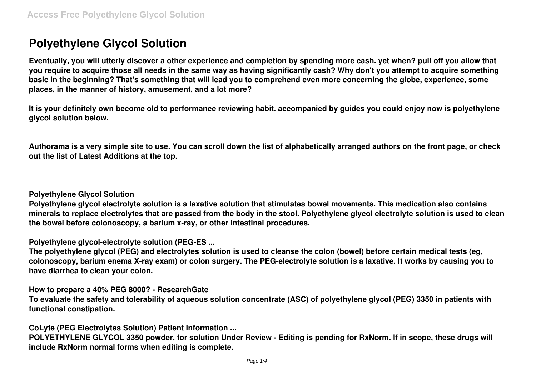# **Polyethylene Glycol Solution**

**Eventually, you will utterly discover a other experience and completion by spending more cash. yet when? pull off you allow that you require to acquire those all needs in the same way as having significantly cash? Why don't you attempt to acquire something basic in the beginning? That's something that will lead you to comprehend even more concerning the globe, experience, some places, in the manner of history, amusement, and a lot more?**

**It is your definitely own become old to performance reviewing habit. accompanied by guides you could enjoy now is polyethylene glycol solution below.**

**Authorama is a very simple site to use. You can scroll down the list of alphabetically arranged authors on the front page, or check out the list of Latest Additions at the top.**

**Polyethylene Glycol Solution**

**Polyethylene glycol electrolyte solution is a laxative solution that stimulates bowel movements. This medication also contains minerals to replace electrolytes that are passed from the body in the stool. Polyethylene glycol electrolyte solution is used to clean the bowel before colonoscopy, a barium x-ray, or other intestinal procedures.**

**Polyethylene glycol-electrolyte solution (PEG-ES ...**

**The polyethylene glycol (PEG) and electrolytes solution is used to cleanse the colon (bowel) before certain medical tests (eg, colonoscopy, barium enema X-ray exam) or colon surgery. The PEG-electrolyte solution is a laxative. It works by causing you to have diarrhea to clean your colon.**

**How to prepare a 40% PEG 8000? - ResearchGate**

**To evaluate the safety and tolerability of aqueous solution concentrate (ASC) of polyethylene glycol (PEG) 3350 in patients with functional constipation.**

**CoLyte (PEG Electrolytes Solution) Patient Information ...**

**POLYETHYLENE GLYCOL 3350 powder, for solution Under Review - Editing is pending for RxNorm. If in scope, these drugs will include RxNorm normal forms when editing is complete.**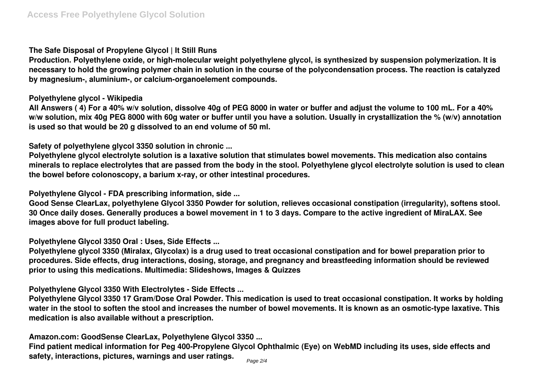#### **The Safe Disposal of Propylene Glycol | It Still Runs**

**Production. Polyethylene oxide, or high-molecular weight polyethylene glycol, is synthesized by suspension polymerization. It is necessary to hold the growing polymer chain in solution in the course of the polycondensation process. The reaction is catalyzed by magnesium-, aluminium-, or calcium-organoelement compounds.**

#### **Polyethylene glycol - Wikipedia**

**All Answers ( 4) For a 40% w/v solution, dissolve 40g of PEG 8000 in water or buffer and adjust the volume to 100 mL. For a 40% w/w solution, mix 40g PEG 8000 with 60g water or buffer until you have a solution. Usually in crystallization the % (w/v) annotation is used so that would be 20 g dissolved to an end volume of 50 ml.**

**Safety of polyethylene glycol 3350 solution in chronic ...**

**Polyethylene glycol electrolyte solution is a laxative solution that stimulates bowel movements. This medication also contains minerals to replace electrolytes that are passed from the body in the stool. Polyethylene glycol electrolyte solution is used to clean the bowel before colonoscopy, a barium x-ray, or other intestinal procedures.**

**Polyethylene Glycol - FDA prescribing information, side ...**

**Good Sense ClearLax, polyethylene Glycol 3350 Powder for solution, relieves occasional constipation (irregularity), softens stool. 30 Once daily doses. Generally produces a bowel movement in 1 to 3 days. Compare to the active ingredient of MiraLAX. See images above for full product labeling.**

**Polyethylene Glycol 3350 Oral : Uses, Side Effects ...**

**Polyethylene glycol 3350 (Miralax, Glycolax) is a drug used to treat occasional constipation and for bowel preparation prior to procedures. Side effects, drug interactions, dosing, storage, and pregnancy and breastfeeding information should be reviewed prior to using this medications. Multimedia: Slideshows, Images & Quizzes**

**Polyethylene Glycol 3350 With Electrolytes - Side Effects ...**

**Polyethylene Glycol 3350 17 Gram/Dose Oral Powder. This medication is used to treat occasional constipation. It works by holding water in the stool to soften the stool and increases the number of bowel movements. It is known as an osmotic-type laxative. This medication is also available without a prescription.**

**Amazon.com: GoodSense ClearLax, Polyethylene Glycol 3350 ...**

**Find patient medical information for Peg 400-Propylene Glycol Ophthalmic (Eye) on WebMD including its uses, side effects and safety, interactions, pictures, warnings and user ratings.** Page 2/4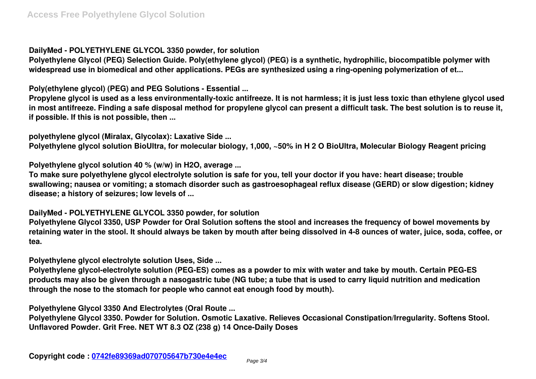## **DailyMed - POLYETHYLENE GLYCOL 3350 powder, for solution**

**Polyethylene Glycol (PEG) Selection Guide. Poly(ethylene glycol) (PEG) is a synthetic, hydrophilic, biocompatible polymer with widespread use in biomedical and other applications. PEGs are synthesized using a ring-opening polymerization of et...**

**Poly(ethylene glycol) (PEG) and PEG Solutions - Essential ...**

**Propylene glycol is used as a less environmentally-toxic antifreeze. It is not harmless; it is just less toxic than ethylene glycol used in most antifreeze. Finding a safe disposal method for propylene glycol can present a difficult task. The best solution is to reuse it, if possible. If this is not possible, then ...**

**polyethylene glycol (Miralax, Glycolax): Laxative Side ...**

**Polyethylene glycol solution BioUltra, for molecular biology, 1,000, ~50% in H 2 O BioUltra, Molecular Biology Reagent pricing**

**Polyethylene glycol solution 40 % (w/w) in H2O, average ...**

**To make sure polyethylene glycol electrolyte solution is safe for you, tell your doctor if you have: heart disease; trouble swallowing; nausea or vomiting; a stomach disorder such as gastroesophageal reflux disease (GERD) or slow digestion; kidney disease; a history of seizures; low levels of ...**

### **DailyMed - POLYETHYLENE GLYCOL 3350 powder, for solution**

**Polyethylene Glycol 3350, USP Powder for Oral Solution softens the stool and increases the frequency of bowel movements by retaining water in the stool. It should always be taken by mouth after being dissolved in 4-8 ounces of water, juice, soda, coffee, or tea.**

**Polyethylene glycol electrolyte solution Uses, Side ...**

**Polyethylene glycol-electrolyte solution (PEG-ES) comes as a powder to mix with water and take by mouth. Certain PEG-ES products may also be given through a nasogastric tube (NG tube; a tube that is used to carry liquid nutrition and medication through the nose to the stomach for people who cannot eat enough food by mouth).**

**Polyethylene Glycol 3350 And Electrolytes (Oral Route ...**

**Polyethylene Glycol 3350. Powder for Solution. Osmotic Laxative. Relieves Occasional Constipation/Irregularity. Softens Stool. Unflavored Powder. Grit Free. NET WT 8.3 OZ (238 g) 14 Once-Daily Doses**